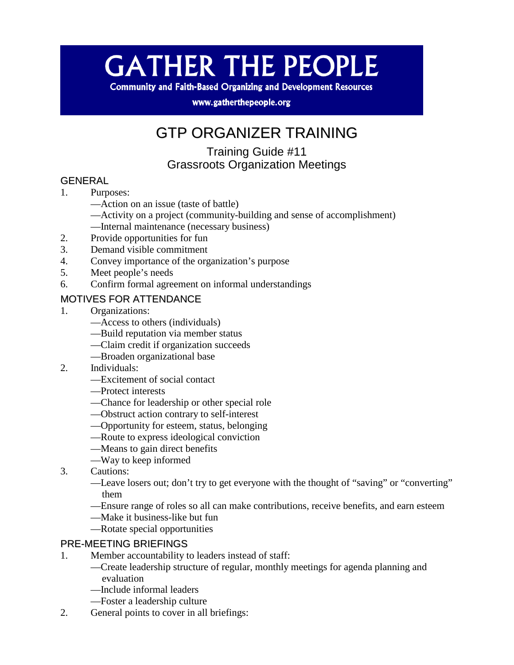# **GATHER THE PEOPLE**

**Community and Faith-Based Organizing and Development Resources** 

www.gatherthepeople.org

# GTP ORGANIZER TRAINING

# Training Guide #11 Grassroots Organization Meetings

#### GENERAL

- 1. Purposes:
	- —Action on an issue (taste of battle)
	- —Activity on a project (community-building and sense of accomplishment) —Internal maintenance (necessary business)
- 2. Provide opportunities for fun
- 3. Demand visible commitment
- 4. Convey importance of the organization's purpose
- 5. Meet people's needs
- 6. Confirm formal agreement on informal understandings

## MOTIVES FOR ATTENDANCE

- 1. Organizations:
	- —Access to others (individuals)
	- —Build reputation via member status
	- —Claim credit if organization succeeds
	- —Broaden organizational base
- 2. Individuals:
	- —Excitement of social contact
	- —Protect interests
	- —Chance for leadership or other special role
	- —Obstruct action contrary to self-interest
	- —Opportunity for esteem, status, belonging
	- —Route to express ideological conviction
	- —Means to gain direct benefits
	- —Way to keep informed
- 3. Cautions:
	- —Leave losers out; don't try to get everyone with the thought of "saving" or "converting" them
	- —Ensure range of roles so all can make contributions, receive benefits, and earn esteem
	- —Make it business-like but fun
	- —Rotate special opportunities

#### PRE-MEETING BRIEFINGS

- 1. Member accountability to leaders instead of staff:
	- —Create leadership structure of regular, monthly meetings for agenda planning and evaluation
	- —Include informal leaders
	- —Foster a leadership culture
- 2. General points to cover in all briefings: